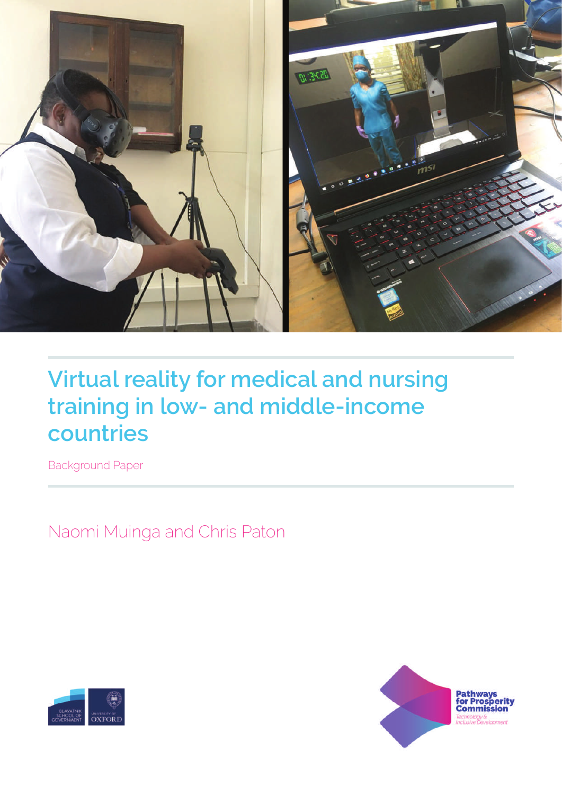

# **Virtual reality for medical and nursing training in low- and middle-income countries**

Background Paper

Naomi Muinga and Chris Paton



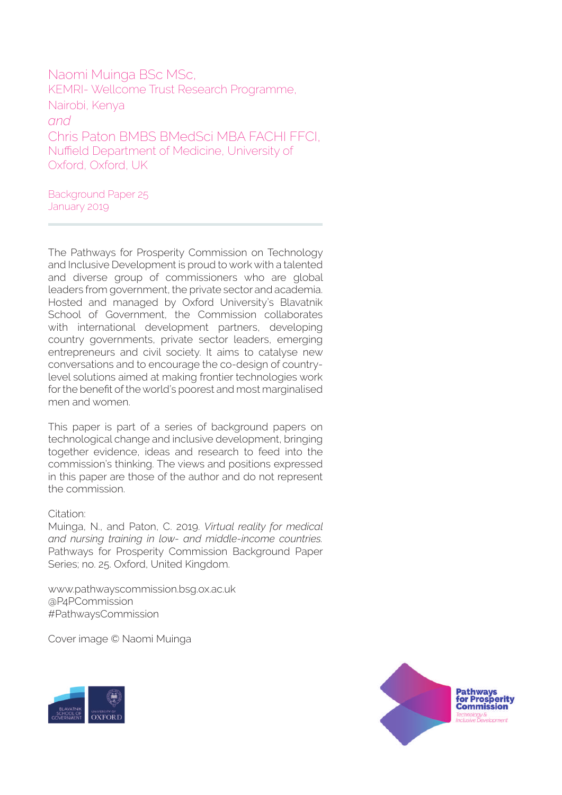Naomi Muinga BSc MSc, KEMRI- Wellcome Trust Research Programme, Nairobi, Kenya *and* Chris Paton BMBS BMedSci MBA FACHI FFCI, Nuffield Department of Medicine, University of Oxford, Oxford, UK

Background Paper 25 January 2019

The Pathways for Prosperity Commission on Technology and Inclusive Development is proud to work with a talented and diverse group of commissioners who are global leaders from government, the private sector and academia. Hosted and managed by Oxford University's Blavatnik School of Government, the Commission collaborates with international development partners, developing country governments, private sector leaders, emerging entrepreneurs and civil society. It aims to catalyse new conversations and to encourage the co-design of countrylevel solutions aimed at making frontier technologies work for the benefit of the world's poorest and most marginalised men and women.

This paper is part of a series of background papers on technological change and inclusive development, bringing together evidence, ideas and research to feed into the commission's thinking. The views and positions expressed in this paper are those of the author and do not represent the commission.

#### Citation:

Muinga, N., and Paton, C. 2019. *Virtual reality for medical and nursing training in low- and middle-income countries.*  Pathways for Prosperity Commission Background Paper Series; no. 25. Oxford, United Kingdom.

www.pathwayscommission.bsg.ox.ac.uk @P4PCommission #PathwaysCommission

Cover image © Naomi Muinga



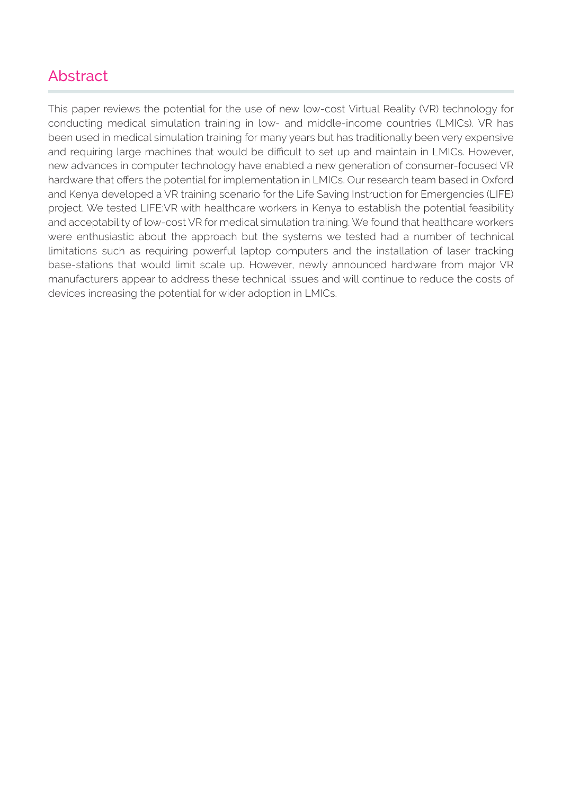#### Abstract

This paper reviews the potential for the use of new low-cost Virtual Reality (VR) technology for conducting medical simulation training in low- and middle-income countries (LMICs). VR has been used in medical simulation training for many years but has traditionally been very expensive and requiring large machines that would be difficult to set up and maintain in LMICs. However, new advances in computer technology have enabled a new generation of consumer-focused VR hardware that offers the potential for implementation in LMICs. Our research team based in Oxford and Kenya developed a VR training scenario for the Life Saving Instruction for Emergencies (LIFE) project. We tested LIFE:VR with healthcare workers in Kenya to establish the potential feasibility and acceptability of low-cost VR for medical simulation training. We found that healthcare workers were enthusiastic about the approach but the systems we tested had a number of technical limitations such as requiring powerful laptop computers and the installation of laser tracking base-stations that would limit scale up. However, newly announced hardware from major VR manufacturers appear to address these technical issues and will continue to reduce the costs of devices increasing the potential for wider adoption in LMICs.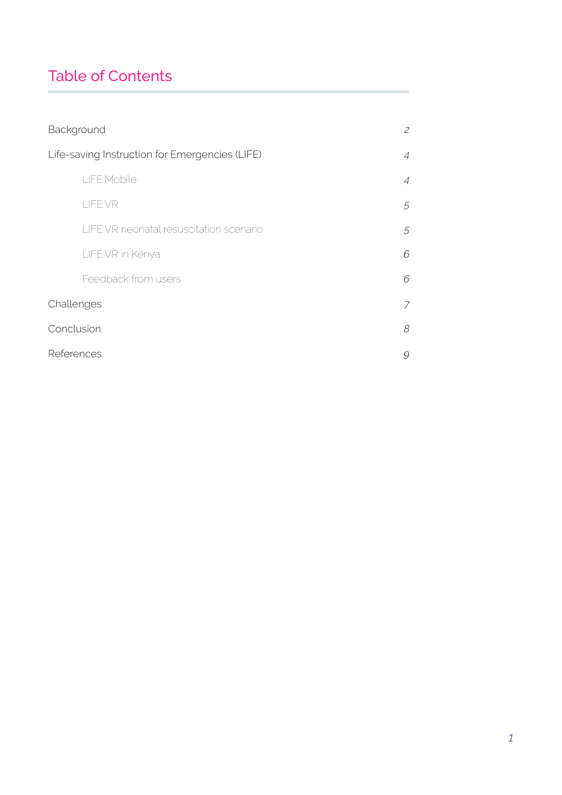# Table of Contents

| Background                                     |                |
|------------------------------------------------|----------------|
| Life-saving Instruction for Emergencies (LIFE) |                |
| LIFE:Mobile                                    | $\overline{A}$ |
| LIFE:VR                                        | 5              |
| LIFE: VR neonatal resuscitation scenario       | 5              |
| LIFE:VR in Kenya                               | 6              |
| Feedback from users                            | 6              |
| Challenges                                     |                |
| Conclusion                                     |                |
| References                                     |                |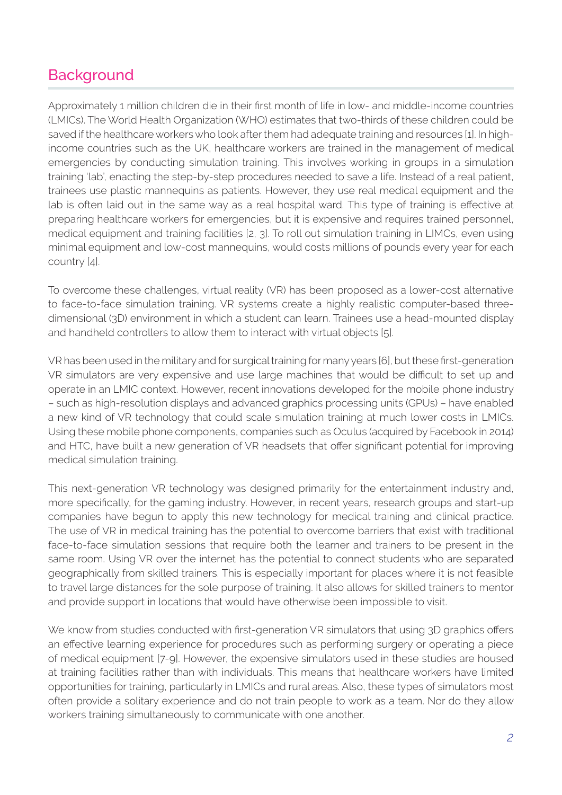## **Background**

Approximately 1 million children die in their first month of life in low- and middle-income countries (LMICs). The World Health Organization (WHO) estimates that two-thirds of these children could be saved if the healthcare workers who look after them had adequate training and resources [1]. In highincome countries such as the UK, healthcare workers are trained in the management of medical emergencies by conducting simulation training. This involves working in groups in a simulation training 'lab', enacting the step-by-step procedures needed to save a life. Instead of a real patient, trainees use plastic mannequins as patients. However, they use real medical equipment and the lab is often laid out in the same way as a real hospital ward. This type of training is effective at preparing healthcare workers for emergencies, but it is expensive and requires trained personnel, medical equipment and training facilities [2, 3]. To roll out simulation training in LIMCs, even using minimal equipment and low-cost mannequins, would costs millions of pounds every year for each country [4].

To overcome these challenges, virtual reality (VR) has been proposed as a lower-cost alternative to face-to-face simulation training. VR systems create a highly realistic computer-based threedimensional (3D) environment in which a student can learn. Trainees use a head-mounted display and handheld controllers to allow them to interact with virtual objects [5].

VR has been used in the military and for surgical training for many years [6], but these first-generation VR simulators are very expensive and use large machines that would be difficult to set up and operate in an LMIC context. However, recent innovations developed for the mobile phone industry – such as high-resolution displays and advanced graphics processing units (GPUs) – have enabled a new kind of VR technology that could scale simulation training at much lower costs in LMICs. Using these mobile phone components, companies such as Oculus (acquired by Facebook in 2014) and HTC, have built a new generation of VR headsets that offer significant potential for improving medical simulation training.

This next-generation VR technology was designed primarily for the entertainment industry and, more specifically, for the gaming industry. However, in recent years, research groups and start-up companies have begun to apply this new technology for medical training and clinical practice. The use of VR in medical training has the potential to overcome barriers that exist with traditional face-to-face simulation sessions that require both the learner and trainers to be present in the same room. Using VR over the internet has the potential to connect students who are separated geographically from skilled trainers. This is especially important for places where it is not feasible to travel large distances for the sole purpose of training. It also allows for skilled trainers to mentor and provide support in locations that would have otherwise been impossible to visit.

We know from studies conducted with first-generation VR simulators that using 3D graphics offers an effective learning experience for procedures such as performing surgery or operating a piece of medical equipment [7-9]. However, the expensive simulators used in these studies are housed at training facilities rather than with individuals. This means that healthcare workers have limited opportunities for training, particularly in LMICs and rural areas. Also, these types of simulators most often provide a solitary experience and do not train people to work as a team. Nor do they allow workers training simultaneously to communicate with one another.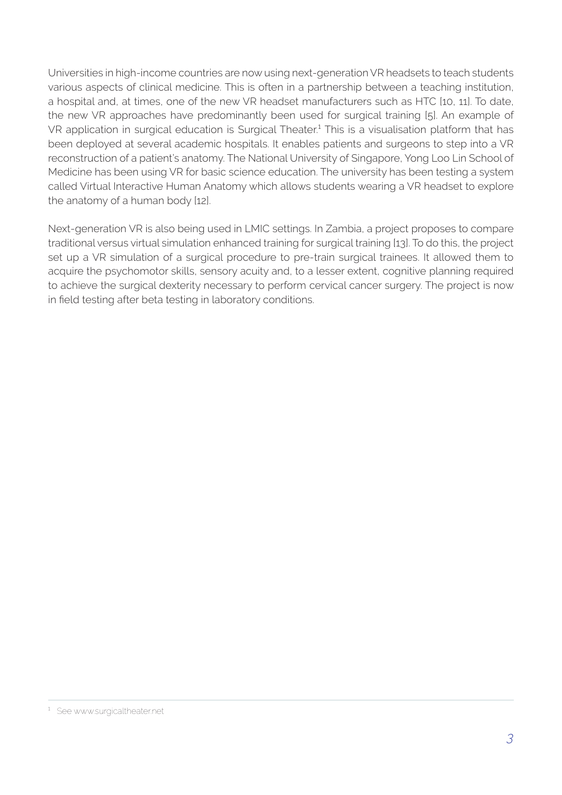Universities in high-income countries are now using next-generation VR headsets to teach students various aspects of clinical medicine. This is often in a partnership between a teaching institution, a hospital and, at times, one of the new VR headset manufacturers such as HTC [10, 11]. To date, the new VR approaches have predominantly been used for surgical training [5]. An example of VR application in surgical education is Surgical Theater.<sup>1</sup> This is a visualisation platform that has been deployed at several academic hospitals. It enables patients and surgeons to step into a VR reconstruction of a patient's anatomy. The National University of Singapore, Yong Loo Lin School of Medicine has been using VR for basic science education. The university has been testing a system called Virtual Interactive Human Anatomy which allows students wearing a VR headset to explore the anatomy of a human body [12].

Next-generation VR is also being used in LMIC settings. In Zambia, a project proposes to compare traditional versus virtual simulation enhanced training for surgical training [13]. To do this, the project set up a VR simulation of a surgical procedure to pre-train surgical trainees. It allowed them to acquire the psychomotor skills, sensory acuity and, to a lesser extent, cognitive planning required to achieve the surgical dexterity necessary to perform cervical cancer surgery. The project is now in field testing after beta testing in laboratory conditions.

<sup>&</sup>lt;sup>1</sup> See www.surgicaltheater.net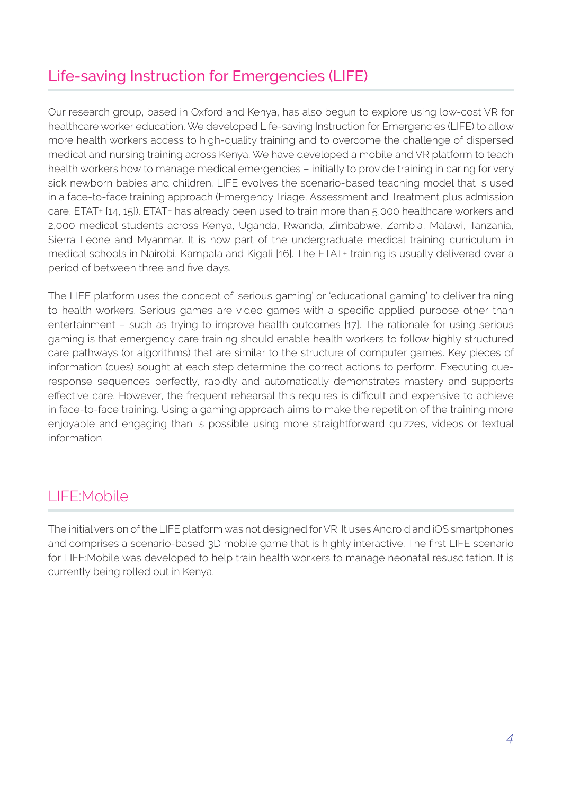# Life-saving Instruction for Emergencies (LIFE)

Our research group, based in Oxford and Kenya, has also begun to explore using low-cost VR for healthcare worker education. We developed Life-saving Instruction for Emergencies (LIFE) to allow more health workers access to high-quality training and to overcome the challenge of dispersed medical and nursing training across Kenya. We have developed a mobile and VR platform to teach health workers how to manage medical emergencies – initially to provide training in caring for very sick newborn babies and children. LIFE evolves the scenario-based teaching model that is used in a face-to-face training approach (Emergency Triage, Assessment and Treatment plus admission care, ETAT+ [14, 15]). ETAT+ has already been used to train more than 5,000 healthcare workers and 2,000 medical students across Kenya, Uganda, Rwanda, Zimbabwe, Zambia, Malawi, Tanzania, Sierra Leone and Myanmar. It is now part of the undergraduate medical training curriculum in medical schools in Nairobi, Kampala and Kigali [16]. The ETAT+ training is usually delivered over a period of between three and five days.

The LIFE platform uses the concept of 'serious gaming' or 'educational gaming' to deliver training to health workers. Serious games are video games with a specific applied purpose other than entertainment – such as trying to improve health outcomes [17]. The rationale for using serious gaming is that emergency care training should enable health workers to follow highly structured care pathways (or algorithms) that are similar to the structure of computer games. Key pieces of information (cues) sought at each step determine the correct actions to perform. Executing cueresponse sequences perfectly, rapidly and automatically demonstrates mastery and supports effective care. However, the frequent rehearsal this requires is difficult and expensive to achieve in face-to-face training. Using a gaming approach aims to make the repetition of the training more enjoyable and engaging than is possible using more straightforward quizzes, videos or textual information.

### LIFE:Mobile

The initial version of the LIFE platform was not designed for VR. It uses Android and iOS smartphones and comprises a scenario-based 3D mobile game that is highly interactive. The first LIFE scenario for LIFE:Mobile was developed to help train health workers to manage neonatal resuscitation. It is currently being rolled out in Kenya.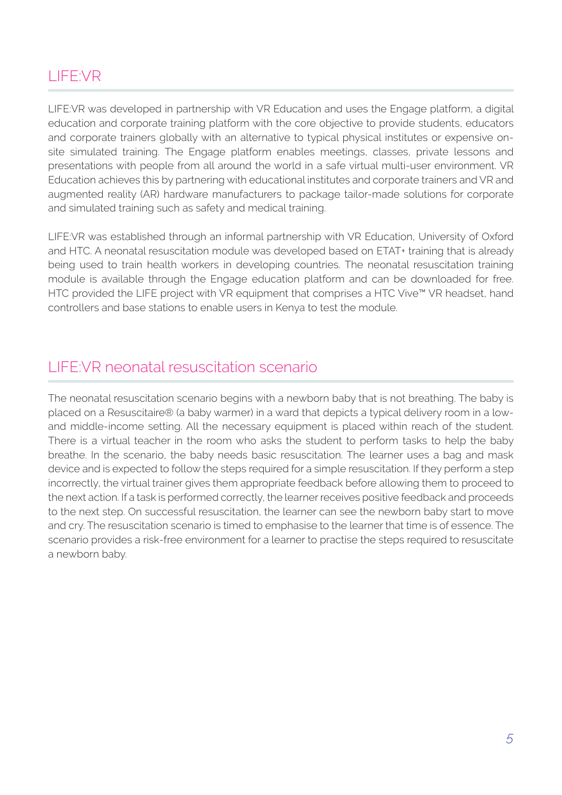## LIFE:VR

LIFE:VR was developed in partnership with VR Education and uses the Engage platform, a digital education and corporate training platform with the core objective to provide students, educators and corporate trainers globally with an alternative to typical physical institutes or expensive onsite simulated training. The Engage platform enables meetings, classes, private lessons and presentations with people from all around the world in a safe virtual multi-user environment. VR Education achieves this by partnering with educational institutes and corporate trainers and VR and augmented reality (AR) hardware manufacturers to package tailor-made solutions for corporate and simulated training such as safety and medical training.

LIFE:VR was established through an informal partnership with VR Education, University of Oxford and HTC. A neonatal resuscitation module was developed based on ETAT+ training that is already being used to train health workers in developing countries. The neonatal resuscitation training module is available through the Engage education platform and can be downloaded for free. HTC provided the LIFE project with VR equipment that comprises a HTC Vive™ VR headset, hand controllers and base stations to enable users in Kenya to test the module.

#### LIFE:VR neonatal resuscitation scenario

The neonatal resuscitation scenario begins with a newborn baby that is not breathing. The baby is placed on a Resuscitaire® (a baby warmer) in a ward that depicts a typical delivery room in a lowand middle-income setting. All the necessary equipment is placed within reach of the student. There is a virtual teacher in the room who asks the student to perform tasks to help the baby breathe. In the scenario, the baby needs basic resuscitation. The learner uses a bag and mask device and is expected to follow the steps required for a simple resuscitation. If they perform a step incorrectly, the virtual trainer gives them appropriate feedback before allowing them to proceed to the next action. If a task is performed correctly, the learner receives positive feedback and proceeds to the next step. On successful resuscitation, the learner can see the newborn baby start to move and cry. The resuscitation scenario is timed to emphasise to the learner that time is of essence. The scenario provides a risk-free environment for a learner to practise the steps required to resuscitate a newborn baby.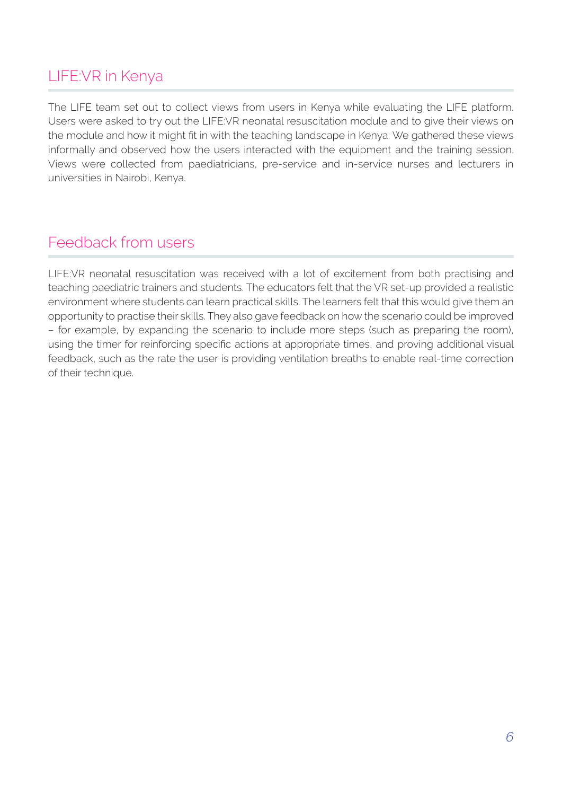# LIFE:VR in Kenya

The LIFE team set out to collect views from users in Kenya while evaluating the LIFE platform. Users were asked to try out the LIFE:VR neonatal resuscitation module and to give their views on the module and how it might fit in with the teaching landscape in Kenya. We gathered these views informally and observed how the users interacted with the equipment and the training session. Views were collected from paediatricians, pre-service and in-service nurses and lecturers in universities in Nairobi, Kenya.

#### Feedback from users

LIFE:VR neonatal resuscitation was received with a lot of excitement from both practising and teaching paediatric trainers and students. The educators felt that the VR set-up provided a realistic environment where students can learn practical skills. The learners felt that this would give them an opportunity to practise their skills. They also gave feedback on how the scenario could be improved – for example, by expanding the scenario to include more steps (such as preparing the room), using the timer for reinforcing specific actions at appropriate times, and proving additional visual feedback, such as the rate the user is providing ventilation breaths to enable real-time correction of their technique.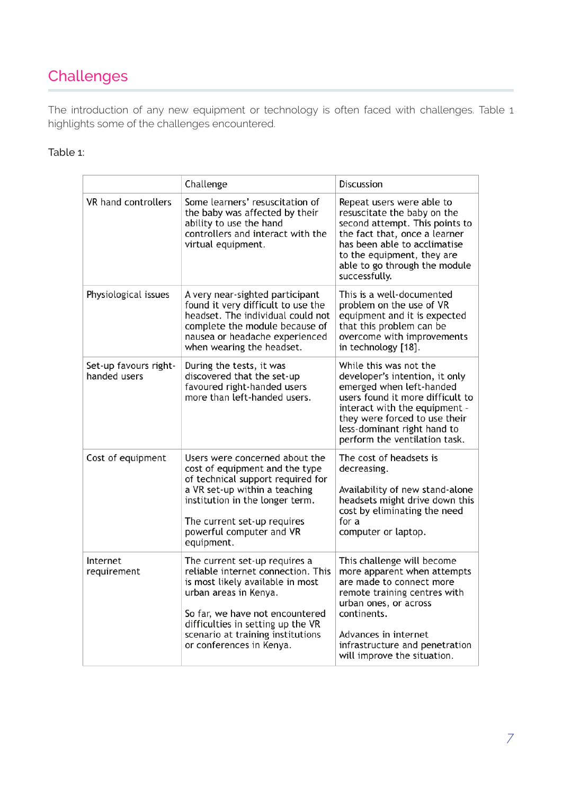# **Challenges**

The introduction of any new equipment or technology is often faced with challenges. Table 1 highlights some of the challenges encountered.

#### Table 1:

|                                       | Challenge                                                                                                                                                                                                                                                                 | Discussion                                                                                                                                                                                                                                                 |
|---------------------------------------|---------------------------------------------------------------------------------------------------------------------------------------------------------------------------------------------------------------------------------------------------------------------------|------------------------------------------------------------------------------------------------------------------------------------------------------------------------------------------------------------------------------------------------------------|
| VR hand controllers                   | Some learners' resuscitation of<br>the baby was affected by their<br>ability to use the hand<br>controllers and interact with the<br>virtual equipment.                                                                                                                   | Repeat users were able to<br>resuscitate the baby on the<br>second attempt. This points to<br>the fact that, once a learner<br>has been able to acclimatise<br>to the equipment, they are<br>able to go through the module<br>successfully.                |
| Physiological issues                  | A very near-sighted participant<br>found it very difficult to use the<br>headset. The individual could not<br>complete the module because of<br>nausea or headache experienced<br>when wearing the headset.                                                               | This is a well-documented<br>problem on the use of VR<br>equipment and it is expected<br>that this problem can be<br>overcome with improvements<br>in technology [18].                                                                                     |
| Set-up favours right-<br>handed users | During the tests, it was<br>discovered that the set-up<br>favoured right-handed users<br>more than left-handed users.                                                                                                                                                     | While this was not the<br>developer's intention, it only<br>emerged when left-handed<br>users found it more difficult to<br>interact with the equipment -<br>they were forced to use their<br>less-dominant right hand to<br>perform the ventilation task. |
| Cost of equipment                     | Users were concerned about the<br>cost of equipment and the type<br>of technical support required for<br>a VR set-up within a teaching<br>institution in the longer term.<br>The current set-up requires<br>powerful computer and VR<br>equipment.                        | The cost of headsets is<br>decreasing.<br>Availability of new stand-alone<br>headsets might drive down this<br>cost by eliminating the need<br>for a<br>computer or laptop.                                                                                |
| Internet<br>requirement               | The current set-up requires a<br>reliable internet connection. This<br>is most likely available in most<br>urban areas in Kenya.<br>So far, we have not encountered<br>difficulties in setting up the VR<br>scenario at training institutions<br>or conferences in Kenya. | This challenge will become<br>more apparent when attempts<br>are made to connect more<br>remote training centres with<br>urban ones, or across<br>continents.<br>Advances in internet<br>infrastructure and penetration<br>will improve the situation.     |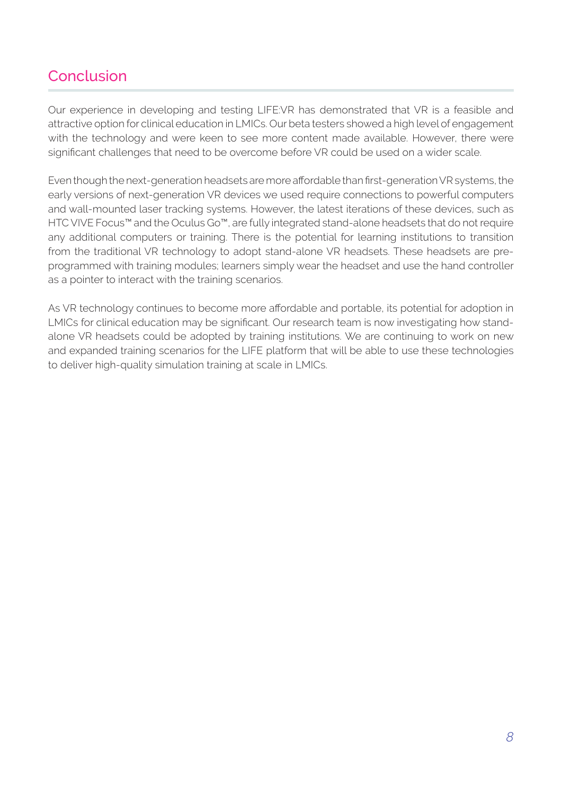#### Conclusion

Our experience in developing and testing LIFE:VR has demonstrated that VR is a feasible and attractive option for clinical education in LMICs. Our beta testers showed a high level of engagement with the technology and were keen to see more content made available. However, there were significant challenges that need to be overcome before VR could be used on a wider scale.

Even though the next-generation headsets are more affordable than first-generation VR systems, the early versions of next-generation VR devices we used require connections to powerful computers and wall-mounted laser tracking systems. However, the latest iterations of these devices, such as HTC VIVE Focus™ and the Oculus Go™, are fully integrated stand-alone headsets that do not require any additional computers or training. There is the potential for learning institutions to transition from the traditional VR technology to adopt stand-alone VR headsets. These headsets are preprogrammed with training modules; learners simply wear the headset and use the hand controller as a pointer to interact with the training scenarios.

As VR technology continues to become more affordable and portable, its potential for adoption in LMICs for clinical education may be significant. Our research team is now investigating how standalone VR headsets could be adopted by training institutions. We are continuing to work on new and expanded training scenarios for the LIFE platform that will be able to use these technologies to deliver high-quality simulation training at scale in LMICs.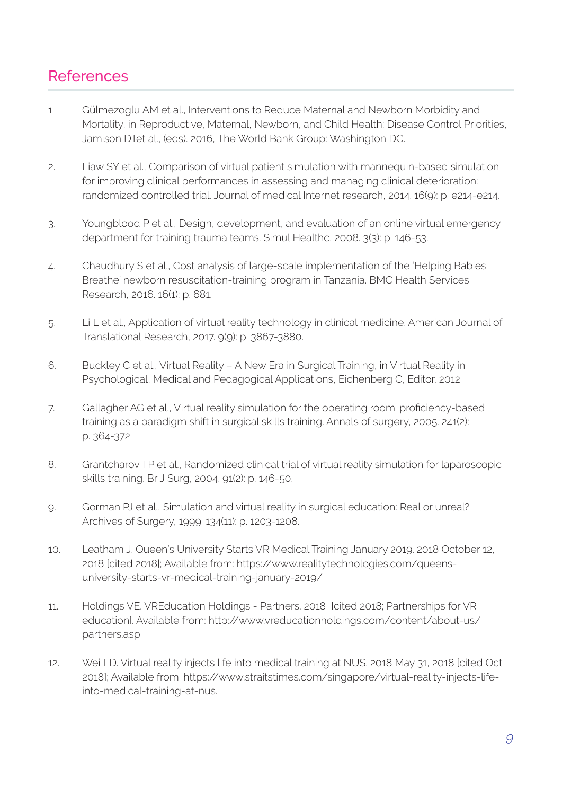#### References

- 1. Gülmezoglu AM et al., Interventions to Reduce Maternal and Newborn Morbidity and Mortality, in Reproductive, Maternal, Newborn, and Child Health: Disease Control Priorities, Jamison DTet al., (eds). 2016, The World Bank Group: Washington DC.
- 2. Liaw SY et al., Comparison of virtual patient simulation with mannequin-based simulation for improving clinical performances in assessing and managing clinical deterioration: randomized controlled trial. Journal of medical Internet research, 2014. 16(9): p. e214-e214.
- 3. Youngblood P et al., Design, development, and evaluation of an online virtual emergency department for training trauma teams. Simul Healthc, 2008. 3(3): p. 146-53.
- 4. Chaudhury S et al., Cost analysis of large-scale implementation of the 'Helping Babies Breathe' newborn resuscitation-training program in Tanzania. BMC Health Services Research, 2016. 16(1): p. 681.
- 5. Li L et al., Application of virtual reality technology in clinical medicine. American Journal of Translational Research, 2017. 9(9): p. 3867-3880.
- 6. Buckley C et al., Virtual Reality A New Era in Surgical Training, in Virtual Reality in Psychological, Medical and Pedagogical Applications, Eichenberg C, Editor. 2012.
- 7. Gallagher AG et al., Virtual reality simulation for the operating room: proficiency-based training as a paradigm shift in surgical skills training. Annals of surgery, 2005. 241(2): p. 364-372.
- 8. Grantcharov TP et al., Randomized clinical trial of virtual reality simulation for laparoscopic skills training. Br J Surg, 2004. 91(2): p. 146-50.
- 9. Gorman PJ et al., Simulation and virtual reality in surgical education: Real or unreal? Archives of Surgery, 1999. 134(11): p. 1203-1208.
- 10. Leatham J. Queen's University Starts VR Medical Training January 2019. 2018 October 12, 2018 [cited 2018]; Available from: https://www.realitytechnologies.com/queensuniversity-starts-vr-medical-training-january-2019/
- 11. Holdings VE. VREducation Holdings Partners. 2018 [cited 2018; Partnerships for VR education]. Available from: http://www.vreducationholdings.com/content/about-us/ partners.asp.
- 12. Wei LD. Virtual reality injects life into medical training at NUS. 2018 May 31, 2018 [cited Oct 2018]; Available from: https://www.straitstimes.com/singapore/virtual-reality-injects-lifeinto-medical-training-at-nus.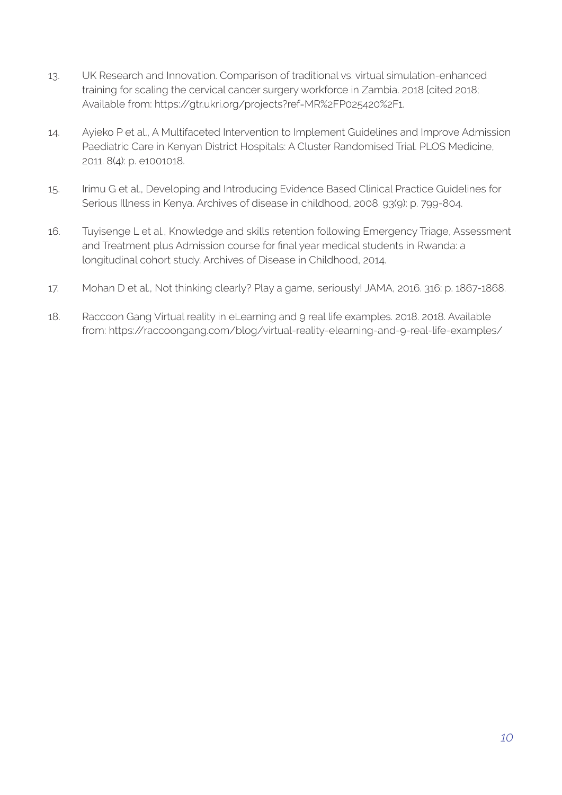- 13. UK Research and Innovation. Comparison of traditional vs. virtual simulation-enhanced training for scaling the cervical cancer surgery workforce in Zambia. 2018 [cited 2018; Available from: https://gtr.ukri.org/projects?ref=MR%2FP025420%2F1.
- 14. Ayieko P et al., A Multifaceted Intervention to Implement Guidelines and Improve Admission Paediatric Care in Kenyan District Hospitals: A Cluster Randomised Trial. PLOS Medicine, 2011. 8(4): p. e1001018.
- 15. Irimu G et al., Developing and Introducing Evidence Based Clinical Practice Guidelines for Serious Illness in Kenya. Archives of disease in childhood, 2008. 93(9): p. 799-804.
- 16. Tuyisenge L et al., Knowledge and skills retention following Emergency Triage, Assessment and Treatment plus Admission course for final year medical students in Rwanda: a longitudinal cohort study. Archives of Disease in Childhood, 2014.
- 17. Mohan D et al., Not thinking clearly? Play a game, seriously! JAMA, 2016. 316: p. 1867-1868.
- 18. Raccoon Gang Virtual reality in eLearning and 9 real life examples. 2018. 2018. Available from: https://raccoongang.com/blog/virtual-reality-elearning-and-9-real-life-examples/